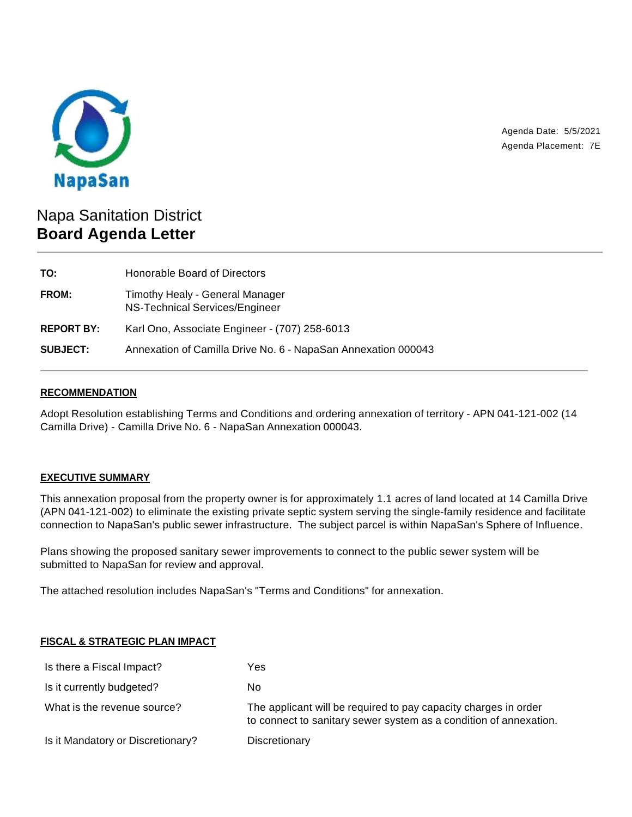

Agenda Date: 5/5/2021 Agenda Placement: 7E

# Napa Sanitation District **Board Agenda Letter**

| TO:               | Honorable Board of Directors                                      |
|-------------------|-------------------------------------------------------------------|
| <b>FROM:</b>      | Timothy Healy - General Manager<br>NS-Technical Services/Engineer |
| <b>REPORT BY:</b> | Karl Ono, Associate Engineer - (707) 258-6013                     |
| <b>SUBJECT:</b>   | Annexation of Camilla Drive No. 6 - NapaSan Annexation 000043     |

## **RECOMMENDATION**

Adopt Resolution establishing Terms and Conditions and ordering annexation of territory - APN 041-121-002 (14 Camilla Drive) - Camilla Drive No. 6 - NapaSan Annexation 000043.

### **EXECUTIVE SUMMARY**

This annexation proposal from the property owner is for approximately 1.1 acres of land located at 14 Camilla Drive (APN 041-121-002) to eliminate the existing private septic system serving the single-family residence and facilitate connection to NapaSan's public sewer infrastructure. The subject parcel is within NapaSan's Sphere of Influence.

Plans showing the proposed sanitary sewer improvements to connect to the public sewer system will be submitted to NapaSan for review and approval.

The attached resolution includes NapaSan's "Terms and Conditions" for annexation.

## **FISCAL & STRATEGIC PLAN IMPACT**

| Is there a Fiscal Impact?         | Yes                                                                                                                                  |
|-----------------------------------|--------------------------------------------------------------------------------------------------------------------------------------|
| Is it currently budgeted?         | No                                                                                                                                   |
| What is the revenue source?       | The applicant will be required to pay capacity charges in order<br>to connect to sanitary sewer system as a condition of annexation. |
| Is it Mandatory or Discretionary? | Discretionary                                                                                                                        |